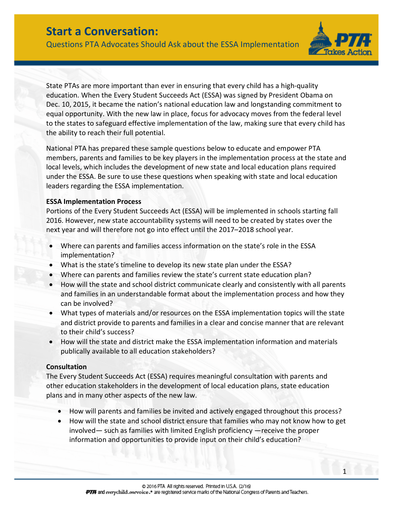Questions PTA Advocates Should Ask about the ESSA Implementation



1

State PTAs are more important than ever in ensuring that every child has a high-quality education. When the Every Student Succeeds Act (ESSA) was signed by President Obama on Dec. 10, 2015, it became the nation's national education law and longstanding commitment to equal opportunity. With the new law in place, focus for advocacy moves from the federal level to the states to safeguard effective implementation of the law, making sure that every child has the ability to reach their full potential.

National PTA has prepared these sample questions below to educate and empower PTA members, parents and families to be key players in the implementation process at the state and local levels, which includes the development of new state and local education plans required under the ESSA. Be sure to use these questions when speaking with state and local education leaders regarding the ESSA implementation.

#### **ESSA Implementation Process**

Portions of the Every Student Succeeds Act (ESSA) will be implemented in schools starting fall 2016. However, new state accountability systems will need to be created by states over the next year and will therefore not go into effect until the 2017–2018 school year.

- Where can parents and families access information on the state's role in the ESSA implementation?
- What is the state's timeline to develop its new state plan under the ESSA?
- Where can parents and families review the state's current state education plan?
- How will the state and school district communicate clearly and consistently with all parents and families in an understandable format about the implementation process and how they can be involved?
- What types of materials and/or resources on the ESSA implementation topics will the state and district provide to parents and families in a clear and concise manner that are relevant to their child's success?
- How will the state and district make the ESSA implementation information and materials publically available to all education stakeholders?

### **Consultation**

The Every Student Succeeds Act (ESSA) requires meaningful consultation with parents and other education stakeholders in the development of local education plans, state education plans and in many other aspects of the new law.

- How will parents and families be invited and actively engaged throughout this process?
- How will the state and school district ensure that families who may not know how to get involved— such as families with limited English proficiency —receive the proper information and opportunities to provide input on their child's education?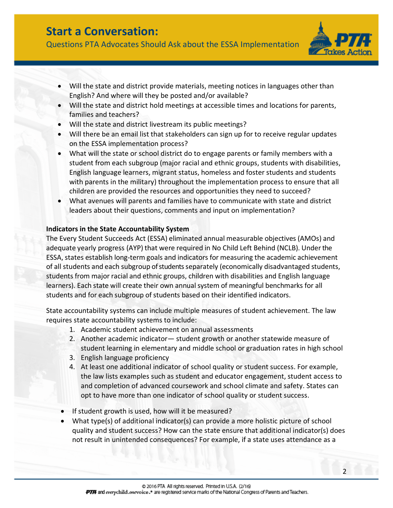Questions PTA Advocates Should Ask about the ESSA Implementation



 $\overline{2}$ 

- Will the state and district provide materials, meeting notices in languages other than English? And where will they be posted and/or available?
- Will the state and district hold meetings at accessible times and locations for parents, families and teachers?
- Will the state and district livestream its public meetings?
- Will there be an email list that stakeholders can sign up for to receive regular updates on the ESSA implementation process?
- What will the state or school district do to engage parents or family members with a student from each subgroup (major racial and ethnic groups, students with disabilities, English language learners, migrant status, homeless and foster students and students with parents in the military) throughout the implementation process to ensure that all children are provided the resources and opportunities they need to succeed?
- What avenues will parents and families have to communicate with state and district leaders about their questions, comments and input on implementation?

### **Indicators in the State Accountability System**

The Every Student Succeeds Act (ESSA) eliminated annual measurable objectives (AMOs) and adequate yearly progress (AYP) that were required in No Child Left Behind (NCLB). Underthe ESSA, states establish long-term goals and indicators for measuring the academic achievement of all students and each subgroup of students separately (economically disadvantaged students, students from major racial and ethnic groups, children with disabilities and English language learners). Each state will create their own annual system of meaningful benchmarks for all students and for each subgroup of students based on their identified indicators.

State accountability systems can include multiple measures of student achievement. The law requires state accountability systems to include:

- 1. Academic student achievement on annual assessments
- 2. Another academic indicator— student growth or another statewide measure of student learning in elementary and middle school or graduation rates in high school
- 3. English language proficiency
- 4. At least one additional indicator of school quality or student success. For example, the law lists examples such as student and educator engagement, student access to and completion of advanced coursework and school climate and safety. States can opt to have more than one indicator of school quality or student success.
- If student growth is used, how will it be measured?
- What type(s) of additional indicator(s) can provide a more holistic picture of school quality and student success? How can the state ensure that additional indicator(s) does not result in unintended consequences? For example, if a state uses attendance as a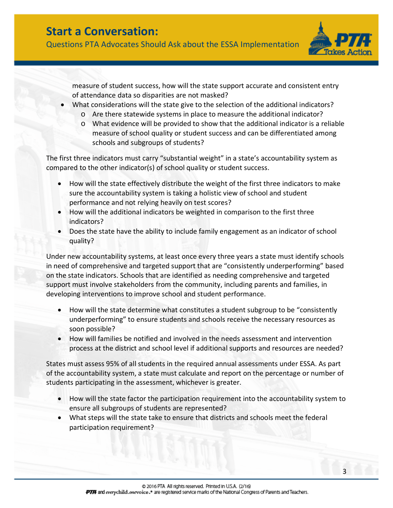Questions PTA Advocates Should Ask about the ESSA Implementation



measure of student success, how will the state support accurate and consistent entry of attendance data so disparities are not masked?

- What considerations will the state give to the selection of the additional indicators?
	- o Are there statewide systems in place to measure the additional indicator?
	- o What evidence will be provided to show that the additional indicator is a reliable measure of school quality or student success and can be differentiated among schools and subgroups of students?

The first three indicators must carry "substantial weight" in a state's accountability system as compared to the other indicator(s) of school quality or student success.

- How will the state effectively distribute the weight of the first three indicators to make sure the accountability system is taking a holistic view of school and student performance and not relying heavily on test scores?
- How will the additional indicators be weighted in comparison to the first three indicators?
- Does the state have the ability to include family engagement as an indicator of school quality?

Under new accountability systems, at least once every three years a state must identify schools in need of comprehensive and targeted support that are "consistently underperforming" based on the state indicators. Schools that are identified as needing comprehensive and targeted support must involve stakeholders from the community, including parents and families, in developing interventions to improve school and student performance.

- How will the state determine what constitutes a student subgroup to be "consistently underperforming" to ensure students and schools receive the necessary resources as soon possible?
- How will families be notified and involved in the needs assessment and intervention process at the district and school level if additional supports and resources are needed?

States must assess 95% of all students in the required annual assessments under ESSA. As part of the accountability system, a state must calculate and report on the percentage or number of students participating in the assessment, whichever is greater.

- How will the state factor the participation requirement into the accountability system to ensure all subgroups of students are represented?
- What steps will the state take to ensure that districts and schools meet the federal participation requirement?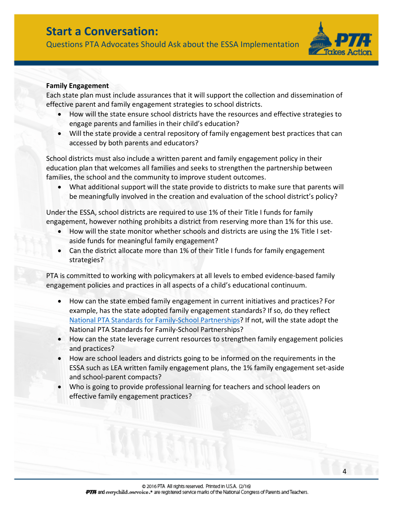Questions PTA Advocates Should Ask about the ESSA Implementation



4

#### **Family Engagement**

Each state plan must include assurances that it will support the collection and dissemination of effective parent and family engagement strategies to school districts.

- How will the state ensure school districts have the resources and effective strategies to engage parents and families in their child's education?
- Will the state provide a central repository of family engagement best practices that can accessed by both parents and educators?

School districts must also include a written parent and family engagement policy in their education plan that welcomes all families and seeks to strengthen the partnership between families, the school and the community to improve student outcomes.

• What additional support will the state provide to districts to make sure that parents will be meaningfully involved in the creation and evaluation of the school district's policy?

Under the ESSA, school districts are required to use 1% of their Title I funds for family engagement, however nothing prohibits a district from reserving more than 1% for this use.

- How will the state monitor whether schools and districts are using the 1% Title I setaside funds for meaningful family engagement?
- Can the district allocate more than 1% of their Title I funds for family engagement strategies?

PTA is committed to working with policymakers at all levels to embed evidence-based family engagement policies and practices in all aspects of a child's educational continuum.

- How can the state embed family engagement in current initiatives and practices? For example, has the state adopted family engagement standards? If so, do they reflect [National PTA Standards for Family-School Partnerships?](http://www.pta.org/nationalstandards) If not, will the state adopt the National PTA Standards for Family-School Partnerships?
- How can the state leverage current resources to strengthen family engagement policies and practices?
- How are school leaders and districts going to be informed on the requirements in the ESSA such as LEA written family engagement plans, the 1% family engagement set-aside and school-parent compacts?
- Who is going to provide professional learning for teachers and school leaders on effective family engagement practices?